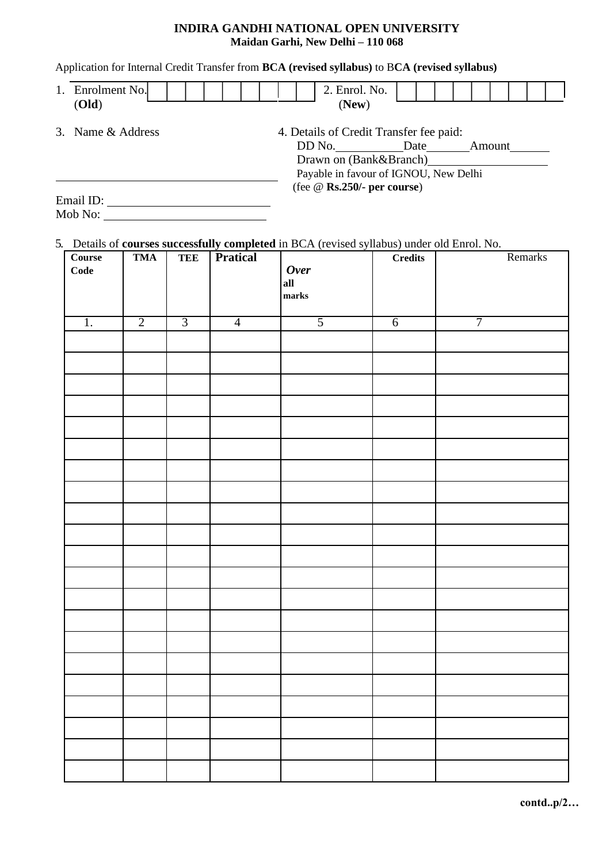### **INDIRA GANDHI NATIONAL OPEN UNIVERSITY Maidan Garhi, New Delhi – 110 068**

### Application for Internal Credit Transfer from **BCA (revised syllabus)** to B**CA (revised syllabus)**

| 1. | Enrolment No.<br>(Old) |  | 2. Enrol. No.<br>(New)                  |  |        |  |  |
|----|------------------------|--|-----------------------------------------|--|--------|--|--|
|    | 3. Name & Address      |  | 4. Details of Credit Transfer fee paid: |  |        |  |  |
|    |                        |  | DD No. Date                             |  | Amount |  |  |
|    |                        |  | Drawn on (Bank&Branch)                  |  |        |  |  |
|    |                        |  | Payable in favour of IGNOU, New Delhi   |  |        |  |  |
|    |                        |  | (fee $\omega$ Rs.250/- per course)      |  |        |  |  |
|    | Email ID:              |  |                                         |  |        |  |  |
|    | Mob No:                |  |                                         |  |        |  |  |

# 5. Details of **courses successfully completed** in BCA (revised syllabus) under old Enrol. No.

| $\bf Course$<br>Code | <b>TMA</b>     | <b>TEE</b>     | <b>Pratical</b> | Over<br>all<br>marks | $\bf{C}_{\bf{r}}\bf{edits}$ | Remarks |
|----------------------|----------------|----------------|-----------------|----------------------|-----------------------------|---------|
| 1.                   | $\overline{2}$ | $\overline{3}$ | $\overline{4}$  | $\overline{5}$       | $\overline{6}$              | 7       |
|                      |                |                |                 |                      |                             |         |
|                      |                |                |                 |                      |                             |         |
|                      |                |                |                 |                      |                             |         |
|                      |                |                |                 |                      |                             |         |
|                      |                |                |                 |                      |                             |         |
|                      |                |                |                 |                      |                             |         |
|                      |                |                |                 |                      |                             |         |
|                      |                |                |                 |                      |                             |         |
|                      |                |                |                 |                      |                             |         |
|                      |                |                |                 |                      |                             |         |
|                      |                |                |                 |                      |                             |         |
|                      |                |                |                 |                      |                             |         |
|                      |                |                |                 |                      |                             |         |
|                      |                |                |                 |                      |                             |         |
|                      |                |                |                 |                      |                             |         |
|                      |                |                |                 |                      |                             |         |
|                      |                |                |                 |                      |                             |         |
|                      |                |                |                 |                      |                             |         |
|                      |                |                |                 |                      |                             |         |
|                      |                |                |                 |                      |                             |         |
|                      |                |                |                 |                      |                             |         |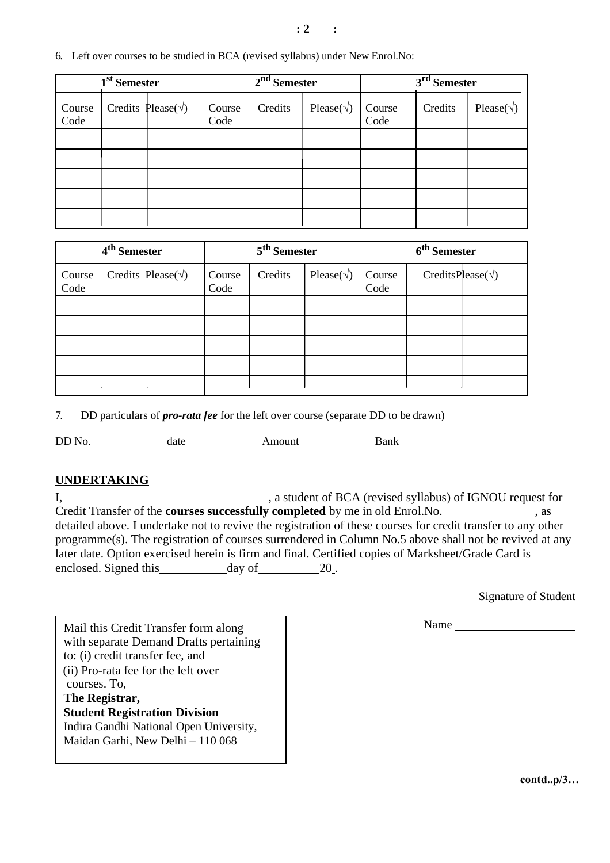| 6. Left over courses to be studied in BCA (revised syllabus) under New Enrol. No: |
|-----------------------------------------------------------------------------------|
|-----------------------------------------------------------------------------------|

| 1 <sup>st</sup> Semester |  |                             | 2 <sup>nd</sup> Semester |         |                     | 3 <sup>rd</sup> Semester |                     |  |  |
|--------------------------|--|-----------------------------|--------------------------|---------|---------------------|--------------------------|---------------------|--|--|
| Course<br>Code           |  | Credits Please( $\sqrt{}$ ) | Course<br>Code           | Credits | Please( $\sqrt{}$ ) | Course<br>Code           | Please( $\sqrt{}$ ) |  |  |
|                          |  |                             |                          |         |                     |                          |                     |  |  |
|                          |  |                             |                          |         |                     |                          |                     |  |  |
|                          |  |                             |                          |         |                     |                          |                     |  |  |
|                          |  |                             |                          |         |                     |                          |                     |  |  |
|                          |  |                             |                          |         |                     |                          |                     |  |  |

| 4 <sup>th</sup> Semester |                             |  | 5 <sup>th</sup> Semester |         |                     | 6 <sup>th</sup> Semester |                            |  |  |
|--------------------------|-----------------------------|--|--------------------------|---------|---------------------|--------------------------|----------------------------|--|--|
| Course<br>Code           | Credits Please( $\sqrt{}$ ) |  | Course<br>Code           | Credits | Please( $\sqrt{}$ ) | Course<br>Code           | CreditsPlease( $\sqrt{}$ ) |  |  |
|                          |                             |  |                          |         |                     |                          |                            |  |  |
|                          |                             |  |                          |         |                     |                          |                            |  |  |
|                          |                             |  |                          |         |                     |                          |                            |  |  |
|                          |                             |  |                          |         |                     |                          |                            |  |  |
|                          |                             |  |                          |         |                     |                          |                            |  |  |

7. DD particulars of *pro-rata fee* for the left over course (separate DD to be drawn)

DD No. date Amount Bank

## **UNDERTAKING**

I, 1. Communication and the student of BCA (revised syllabus) of IGNOU request for Credit Transfer of the **courses successfully completed** by me in old Enrol.No. 10.133, as detailed above. I undertake not to revive the registration of these courses for credit transfer to any other programme(s). The registration of courses surrendered in Column No.5 above shall not be revived at any later date. Option exercised herein is firm and final. Certified copies of Marksheet/Grade Card is enclosed. Signed this day of 20.

Signature of Student

Name

Mail this Credit Transfer form along with separate Demand Drafts pertaining to: (i) credit transfer fee, and (ii) Pro-rata fee for the left over courses. To, **The Registrar, Student Registration Division** Indira Gandhi National Open University,

Maidan Garhi, New Delhi – 110 068

**contd..p/3…**

#### **: 2 :**